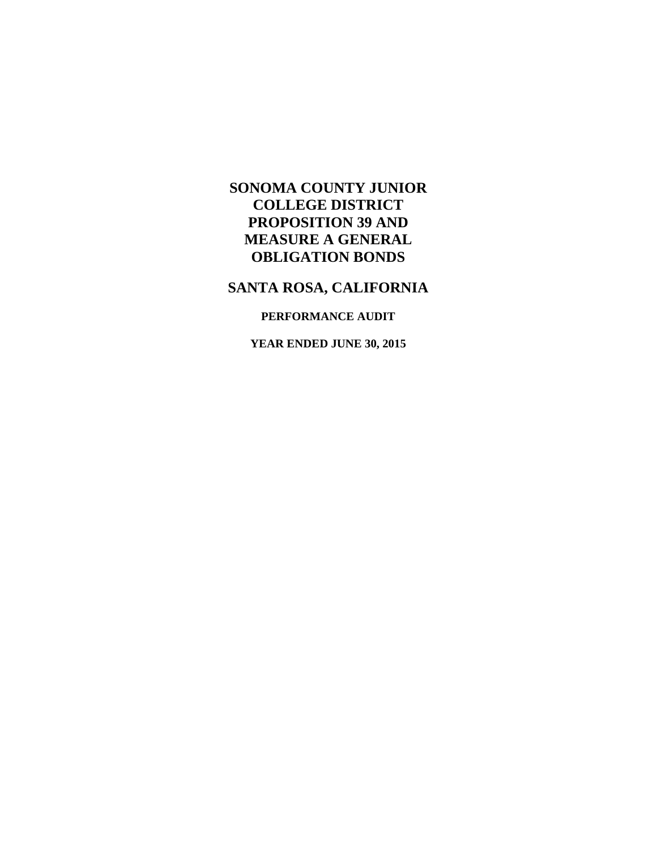# **SANTA ROSA, CALIFORNIA**

## **PERFORMANCE AUDIT**

**YEAR ENDED JUNE 30, 2015**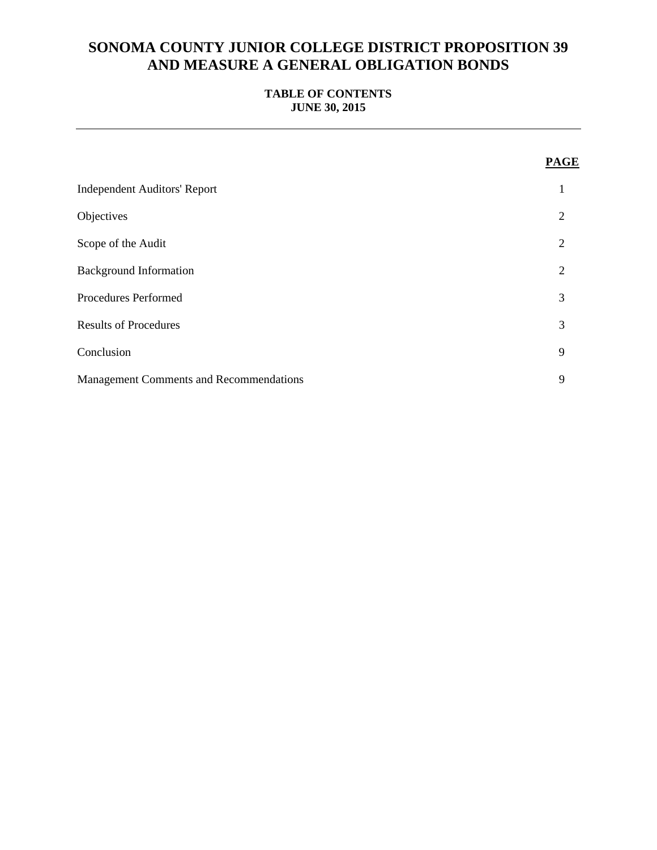## **TABLE OF CONTENTS JUNE 30, 2015**

|                                                | <b>PAGE</b>    |
|------------------------------------------------|----------------|
| <b>Independent Auditors' Report</b>            |                |
| Objectives                                     | 2              |
| Scope of the Audit                             | 2              |
| <b>Background Information</b>                  | $\overline{2}$ |
| Procedures Performed                           | 3              |
| <b>Results of Procedures</b>                   | 3              |
| Conclusion                                     | 9              |
| <b>Management Comments and Recommendations</b> | 9              |
|                                                |                |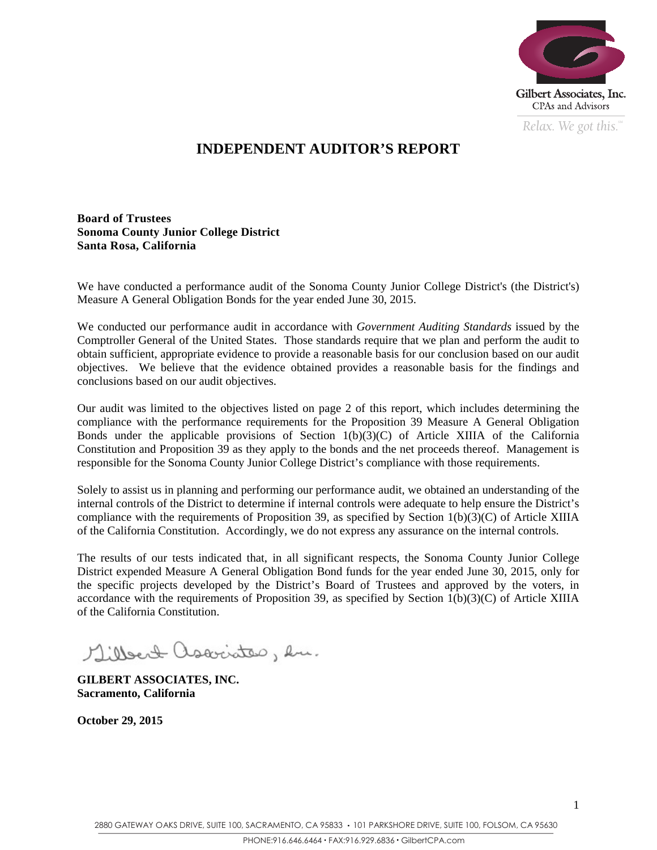

*Relax. We got this.*  $\degree$ 

# **INDEPENDENT AUDITOR'S REPORT**

**Board of Trustees Sonoma County Junior College District Santa Rosa, California** 

We have conducted a performance audit of the Sonoma County Junior College District's (the District's) Measure A General Obligation Bonds for the year ended June 30, 2015.

We conducted our performance audit in accordance with *Government Auditing Standards* issued by the Comptroller General of the United States. Those standards require that we plan and perform the audit to obtain sufficient, appropriate evidence to provide a reasonable basis for our conclusion based on our audit objectives. We believe that the evidence obtained provides a reasonable basis for the findings and conclusions based on our audit objectives.

Our audit was limited to the objectives listed on page 2 of this report, which includes determining the compliance with the performance requirements for the Proposition 39 Measure A General Obligation Bonds under the applicable provisions of Section  $1(b)(3)(C)$  of Article XIIIA of the California Constitution and Proposition 39 as they apply to the bonds and the net proceeds thereof. Management is responsible for the Sonoma County Junior College District's compliance with those requirements.

Solely to assist us in planning and performing our performance audit, we obtained an understanding of the internal controls of the District to determine if internal controls were adequate to help ensure the District's compliance with the requirements of Proposition 39, as specified by Section  $1(b)(3)(C)$  of Article XIIIA of the California Constitution. Accordingly, we do not express any assurance on the internal controls.

The results of our tests indicated that, in all significant respects, the Sonoma County Junior College District expended Measure A General Obligation Bond funds for the year ended June 30, 2015, only for the specific projects developed by the District's Board of Trustees and approved by the voters, in accordance with the requirements of Proposition 39, as specified by Section  $\hat{1(b)}(3)(C)$  of Article XIIIA of the California Constitution.

Millert associates, en.

**GILBERT ASSOCIATES, INC. Sacramento, California** 

**October 29, 2015**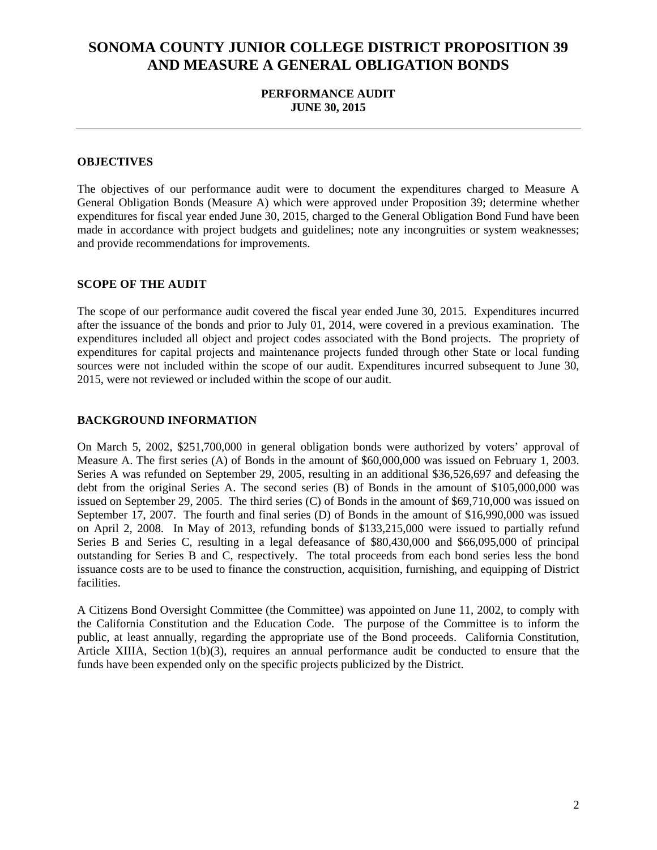### **PERFORMANCE AUDIT JUNE 30, 2015**

#### **OBJECTIVES**

 made in accordance with project budgets and guidelines; note any incongruities or system weaknesses; The objectives of our performance audit were to document the expenditures charged to Measure A General Obligation Bonds (Measure A) which were approved under Proposition 39; determine whether expenditures for fiscal year ended June 30, 2015, charged to the General Obligation Bond Fund have been and provide recommendations for improvements.

#### **SCOPE OF THE AUDIT**

The scope of our performance audit covered the fiscal year ended June 30, 2015. Expenditures incurred after the issuance of the bonds and prior to July 01, 2014, were covered in a previous examination. The expenditures included all object and project codes associated with the Bond projects. The propriety of expenditures for capital projects and maintenance projects funded through other State or local funding sources were not included within the scope of our audit. Expenditures incurred subsequent to June 30, 2015, were not reviewed or included within the scope of our audit.

#### **BACKGROUND INFORMATION**

On March 5, 2002, \$251,700,000 in general obligation bonds were authorized by voters' approval of Measure A. The first series (A) of Bonds in the amount of \$60,000,000 was issued on February 1, 2003. Series A was refunded on September 29, 2005, resulting in an additional \$36,526,697 and defeasing the debt from the original Series A. The second series (B) of Bonds in the amount of \$105,000,000 was issued on September 29, 2005. The third series (C) of Bonds in the amount of \$69,710,000 was issued on September 17, 2007. The fourth and final series (D) of Bonds in the amount of \$16,990,000 was issued on April 2, 2008. In May of 2013, refunding bonds of \$133,215,000 were issued to partially refund Series B and Series C, resulting in a legal defeasance of \$80,430,000 and \$66,095,000 of principal outstanding for Series B and C, respectively. The total proceeds from each bond series less the bond issuance costs are to be used to finance the construction, acquisition, furnishing, and equipping of District facilities.

A Citizens Bond Oversight Committee (the Committee) was appointed on June 11, 2002, to comply with the California Constitution and the Education Code. The purpose of the Committee is to inform the public, at least annually, regarding the appropriate use of the Bond proceeds. California Constitution, Article XIIIA, Section 1(b)(3), requires an annual performance audit be conducted to ensure that the funds have been expended only on the specific projects publicized by the District.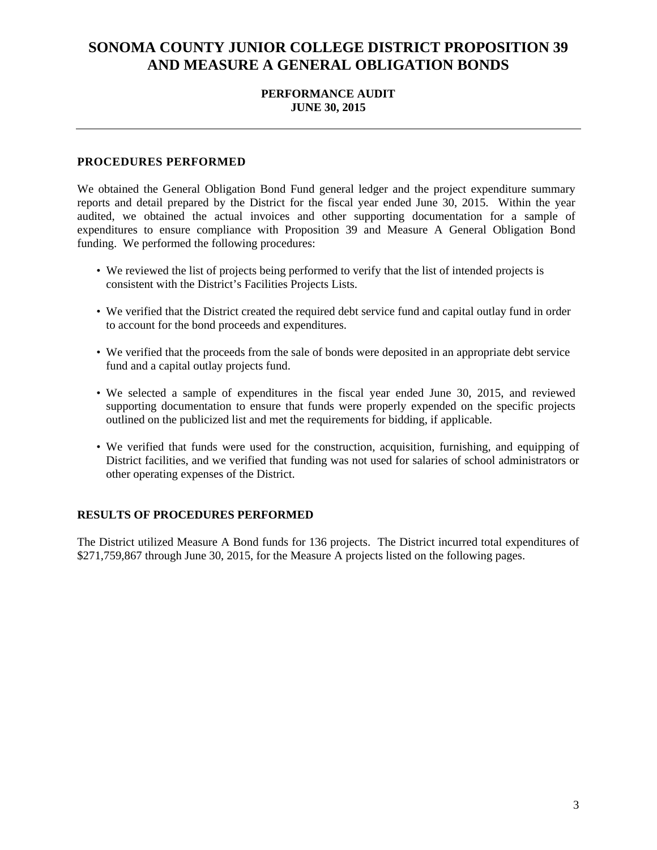### **PERFORMANCE AUDIT JUNE 30, 2015**

### **PROCEDURES PERFORMED**

We obtained the General Obligation Bond Fund general ledger and the project expenditure summary reports and detail prepared by the District for the fiscal year ended June 30, 2015. Within the year audited, we obtained the actual invoices and other supporting documentation for a sample of expenditures to ensure compliance with Proposition 39 and Measure A General Obligation Bond funding. We performed the following procedures:

- We reviewed the list of projects being performed to verify that the list of intended projects is consistent with the District's Facilities Projects Lists.
- We verified that the District created the required debt service fund and capital outlay fund in order to account for the bond proceeds and expenditures.
- We verified that the proceeds from the sale of bonds were deposited in an appropriate debt service fund and a capital outlay projects fund.
- We selected a sample of expenditures in the fiscal year ended June 30, 2015, and reviewed supporting documentation to ensure that funds were properly expended on the specific projects outlined on the publicized list and met the requirements for bidding, if applicable.
- We verified that funds were used for the construction, acquisition, furnishing, and equipping of District facilities, and we verified that funding was not used for salaries of school administrators or other operating expenses of the District.

#### **RESULTS OF PROCEDURES PERFORMED**

The District utilized Measure A Bond funds for 136 projects. The District incurred total expenditures of \$271,759,867 through June 30, 2015, for the Measure A projects listed on the following pages.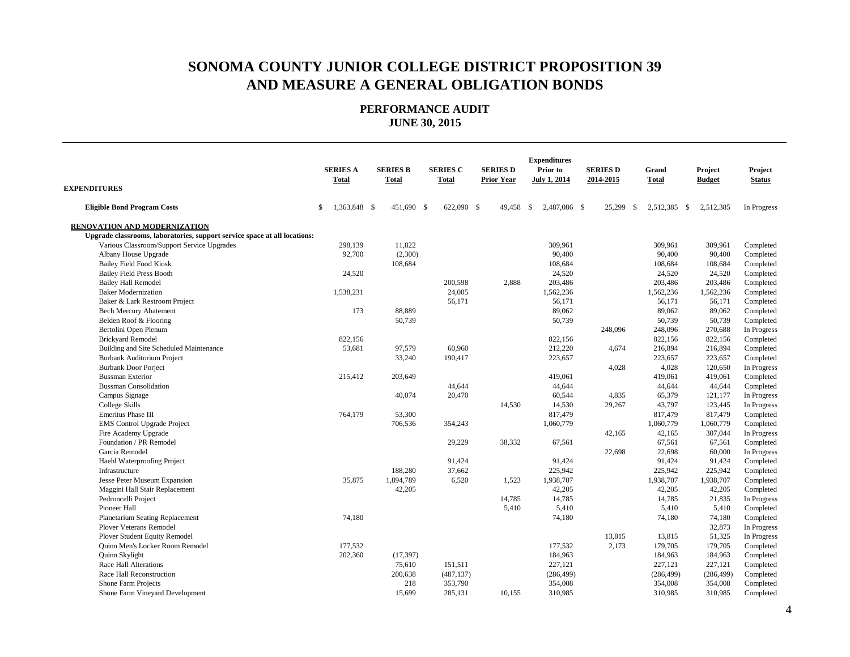**PERFORMANCE AUDIT JUNE 30, 2015**

| <b>EXPENDITURES</b>                                                       | <b>SERIES A</b><br><b>Total</b> | <b>SERIES B</b><br><b>Total</b> | <b>SERIES C</b><br><b>Total</b> | <b>SERIES D</b><br><b>Prior Year</b> | <b>Expenditures</b><br>Prior to<br><b>July 1, 2014</b> | <b>SERIES D</b><br>2014-2015 | Grand<br><b>Total</b> | Project<br><b>Budget</b> | Project<br><b>Status</b> |
|---------------------------------------------------------------------------|---------------------------------|---------------------------------|---------------------------------|--------------------------------------|--------------------------------------------------------|------------------------------|-----------------------|--------------------------|--------------------------|
| <b>Eligible Bond Program Costs</b>                                        | \$<br>1,363,848 \$              | 451,690 \$                      | 622,090 \$                      | 49,458                               | S.<br>2,487,086 \$                                     | 25,299<br>\$                 | 2,512,385 \$          | 2,512,385                | In Progress              |
| RENOVATION AND MODERNIZATION                                              |                                 |                                 |                                 |                                      |                                                        |                              |                       |                          |                          |
| Upgrade classrooms, laboratories, support service space at all locations: |                                 |                                 |                                 |                                      |                                                        |                              |                       |                          |                          |
| Various Classroom/Support Service Upgrades                                | 298,139                         | 11,822                          |                                 |                                      | 309,961                                                |                              | 309.961               | 309,961                  | Completed                |
| Albany House Upgrade                                                      | 92,700                          | (2,300)                         |                                 |                                      | 90,400                                                 |                              | 90,400                | 90,400                   | Completed                |
| <b>Bailey Field Food Kiosk</b>                                            |                                 | 108,684                         |                                 |                                      | 108,684                                                |                              | 108,684               | 108,684                  | Completed                |
| <b>Bailey Field Press Booth</b>                                           | 24,520                          |                                 |                                 |                                      | 24,520                                                 |                              | 24,520                | 24,520                   | Completed                |
| <b>Bailey Hall Remodel</b>                                                |                                 |                                 | 200,598                         | 2,888                                | 203,486                                                |                              | 203,486               | 203,486                  | Completed                |
| <b>Baker Modernization</b>                                                | 1,538,231                       |                                 | 24,005                          |                                      | 1,562,236                                              |                              | 1,562,236             | 1,562,236                | Completed                |
| Baker & Lark Restroom Project                                             |                                 |                                 | 56,171                          |                                      | 56,171                                                 |                              | 56,171                | 56,171                   | Completed                |
| <b>Bech Mercury Abatement</b>                                             | 173                             | 88,889                          |                                 |                                      | 89,062                                                 |                              | 89,062                | 89,062                   | Completed                |
| Belden Roof & Flooring                                                    |                                 | 50,739                          |                                 |                                      | 50,739                                                 |                              | 50,739                | 50,739                   | Completed                |
| Bertolini Open Plenum                                                     |                                 |                                 |                                 |                                      |                                                        | 248,096                      | 248,096               | 270,688                  | In Progress              |
| <b>Brickyard Remodel</b>                                                  | 822,156                         |                                 |                                 |                                      | 822,156                                                |                              | 822,156               | 822,156                  | Completed                |
| Building and Site Scheduled Maintenance                                   | 53,681                          | 97,579                          | 60,960                          |                                      | 212,220                                                | 4,674                        | 216,894               | 216,894                  | Completed                |
| <b>Burbank Auditorium Project</b>                                         |                                 | 33,240                          | 190,417                         |                                      | 223,657                                                |                              | 223,657               | 223,657                  | Completed                |
| <b>Burbank Door Porject</b>                                               |                                 |                                 |                                 |                                      |                                                        | 4,028                        | 4,028                 | 120,650                  | In Progress              |
| <b>Bussman Exterior</b>                                                   | 215,412                         | 203,649                         |                                 |                                      | 419,061                                                |                              | 419,061               | 419,061                  | Completed                |
| <b>Bussman Consolidation</b>                                              |                                 |                                 | 44,644                          |                                      | 44,644                                                 |                              | 44,644                | 44,644                   | Completed                |
| Campus Signage                                                            |                                 | 40,074                          | 20,470                          |                                      | 60,544                                                 | 4,835                        | 65,379                | 121,177                  | In Progress              |
| College Skills                                                            |                                 |                                 |                                 | 14,530                               | 14,530                                                 | 29,267                       | 43,797                | 123,445                  | In Progress              |
| Emeritus Phase III                                                        | 764,179                         | 53,300                          |                                 |                                      | 817,479                                                |                              | 817,479               | 817,479                  | Completed                |
| EMS Control Upgrade Project                                               |                                 | 706,536                         | 354,243                         |                                      | 1,060,779                                              |                              | 1,060,779             | 1,060,779                | Completed                |
| Fire Academy Upgrade                                                      |                                 |                                 |                                 |                                      |                                                        | 42,165                       | 42,165                | 307,044                  | In Progress              |
| Foundation / PR Remodel                                                   |                                 |                                 | 29,229                          | 38,332                               | 67,561                                                 |                              | 67,561                | 67,561                   | Completed                |
| Garcia Remodel                                                            |                                 |                                 |                                 |                                      |                                                        | 22,698                       | 22,698                | 60,000                   | In Progress              |
| Haehl Waterproofing Project                                               |                                 |                                 | 91,424                          |                                      | 91,424                                                 |                              | 91,424                | 91,424                   | Completed                |
| Infrastructure                                                            |                                 | 188,280                         | 37,662                          |                                      | 225,942                                                |                              | 225,942               | 225,942                  | Completed                |
| Jesse Peter Museum Expansion                                              | 35,875                          | 1,894,789                       | 6,520                           | 1,523                                | 1,938,707                                              |                              | 1,938,707             | 1,938,707                | Completed                |
| Maggini Hall Stair Replacement                                            |                                 | 42,205                          |                                 |                                      | 42,205                                                 |                              | 42,205                | 42,205                   | Completed                |
| Pedroncelli Project                                                       |                                 |                                 |                                 | 14.785                               | 14,785                                                 |                              | 14.785                | 21,835                   | In Progress              |
| Pioneer Hall                                                              |                                 |                                 |                                 | 5,410                                | 5,410                                                  |                              | 5,410                 | 5,410                    | Completed                |
| Planetarium Seating Replacement                                           | 74,180                          |                                 |                                 |                                      | 74,180                                                 |                              | 74,180                | 74,180                   | Completed                |
| <b>Plover Veterans Remodel</b>                                            |                                 |                                 |                                 |                                      |                                                        |                              |                       | 32,873                   | In Progress              |
| Plover Student Equity Remodel                                             |                                 |                                 |                                 |                                      |                                                        | 13,815                       | 13,815                | 51,325                   | In Progress              |
| Quinn Men's Locker Room Remodel                                           | 177.532                         |                                 |                                 |                                      | 177,532                                                | 2,173                        | 179,705               | 179,705                  | Completed                |
| Quinn Skylight                                                            | 202,360                         | (17, 397)                       |                                 |                                      | 184,963                                                |                              | 184,963               | 184,963                  | Completed                |
| <b>Race Hall Alterations</b>                                              |                                 | 75,610                          | 151,511                         |                                      | 227,121                                                |                              | 227,121               | 227,121                  | Completed                |
| Race Hall Reconstruction                                                  |                                 | 200,638                         | (487, 137)                      |                                      | (286, 499)                                             |                              | (286, 499)            | (286, 499)               | Completed                |
| Shone Farm Projects                                                       |                                 | 218                             | 353,790                         |                                      | 354,008                                                |                              | 354,008               | 354,008                  | Completed                |
| Shone Farm Vineyard Development                                           |                                 | 15,699                          | 285,131                         | 10,155                               | 310,985                                                |                              | 310,985               | 310,985                  | Completed                |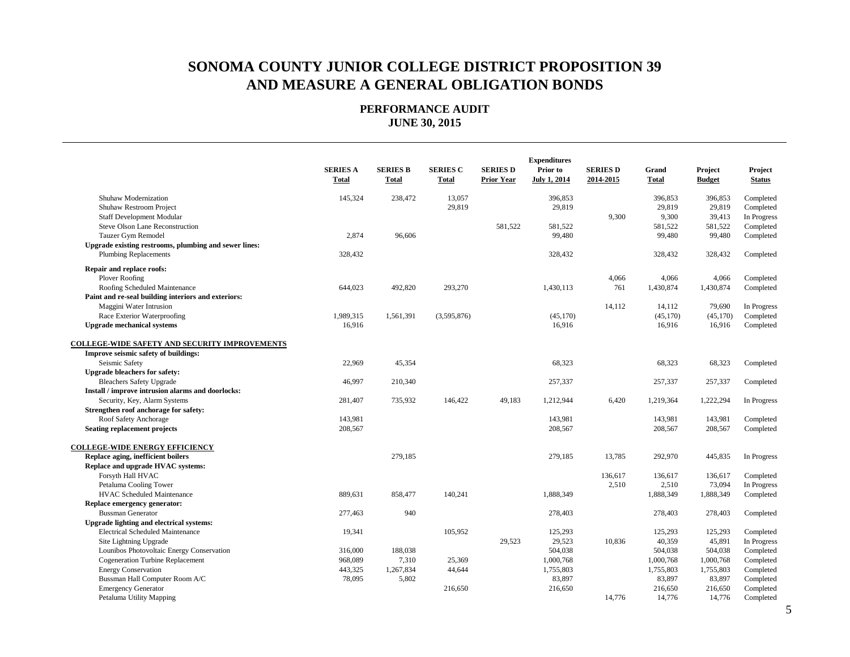|                                                       | <b>Expenditures</b>             |                          |                          |                                      |                                 |                              |                       |                          |                          |
|-------------------------------------------------------|---------------------------------|--------------------------|--------------------------|--------------------------------------|---------------------------------|------------------------------|-----------------------|--------------------------|--------------------------|
|                                                       | <b>SERIES A</b><br><b>Total</b> | <b>SERIES B</b><br>Total | <b>SERIES C</b><br>Total | <b>SERIES D</b><br><b>Prior Year</b> | Prior to<br><b>July 1, 2014</b> | <b>SERIES D</b><br>2014-2015 | Grand<br><b>Total</b> | Project<br><b>Budget</b> | Project<br><b>Status</b> |
|                                                       |                                 |                          |                          |                                      |                                 |                              |                       |                          |                          |
| Shuhaw Modernization                                  | 145,324                         | 238,472                  | 13,057                   |                                      | 396,853                         |                              | 396,853               | 396,853                  | Completed                |
| Shuhaw Restroom Project                               |                                 |                          | 29,819                   |                                      | 29,819                          |                              | 29,819                | 29,819                   | Completed                |
| <b>Staff Development Modular</b>                      |                                 |                          |                          |                                      |                                 | 9,300                        | 9,300                 | 39,413                   | In Progress              |
| Steve Olson Lane Reconstruction                       |                                 |                          |                          | 581,522                              | 581,522                         |                              | 581,522               | 581,522                  | Completed                |
| Tauzer Gym Remodel                                    | 2,874                           | 96,606                   |                          |                                      | 99,480                          |                              | 99,480                | 99,480                   | Completed                |
| Upgrade existing restrooms, plumbing and sewer lines: |                                 |                          |                          |                                      |                                 |                              |                       |                          |                          |
| <b>Plumbing Replacements</b>                          | 328,432                         |                          |                          |                                      | 328,432                         |                              | 328,432               | 328,432                  | Completed                |
| Repair and replace roofs:                             |                                 |                          |                          |                                      |                                 |                              |                       |                          |                          |
| Plover Roofing                                        |                                 |                          |                          |                                      |                                 | 4,066                        | 4,066                 | 4,066                    | Completed                |
| Roofing Scheduled Maintenance                         | 644,023                         | 492,820                  | 293,270                  |                                      | 1,430,113                       | 761                          | 1,430,874             | 1,430,874                | Completed                |
| Paint and re-seal building interiors and exteriors:   |                                 |                          |                          |                                      |                                 |                              |                       |                          |                          |
| Maggini Water Intrusion                               |                                 |                          |                          |                                      |                                 | 14,112                       | 14,112                | 79,690                   | In Progress              |
| Race Exterior Waterproofing                           | 1,989,315                       | 1,561,391                | (3,595,876)              |                                      | (45, 170)                       |                              | (45, 170)             | (45, 170)                | Completed                |
| <b>Upgrade mechanical systems</b>                     | 16,916                          |                          |                          |                                      | 16,916                          |                              | 16,916                | 16,916                   | Completed                |
| <b>COLLEGE-WIDE SAFETY AND SECURITY IMPROVEMENTS</b>  |                                 |                          |                          |                                      |                                 |                              |                       |                          |                          |
| Improve seismic safety of buildings:                  |                                 |                          |                          |                                      |                                 |                              |                       |                          |                          |
| Seismic Safety                                        | 22,969                          | 45,354                   |                          |                                      | 68,323                          |                              | 68,323                | 68,323                   | Completed                |
| <b>Upgrade bleachers for safety:</b>                  |                                 |                          |                          |                                      |                                 |                              |                       |                          |                          |
| <b>Bleachers Safety Upgrade</b>                       | 46,997                          | 210,340                  |                          |                                      | 257,337                         |                              | 257,337               | 257,337                  | Completed                |
| Install / improve intrusion alarms and doorlocks:     |                                 |                          |                          |                                      |                                 |                              |                       |                          |                          |
| Security, Key, Alarm Systems                          | 281,407                         | 735,932                  | 146,422                  | 49,183                               | 1,212,944                       | 6,420                        | 1,219,364             | 1,222,294                | In Progress              |
| Strengthen roof anchorage for safety:                 |                                 |                          |                          |                                      |                                 |                              |                       |                          |                          |
| Roof Safety Anchorage                                 | 143,981                         |                          |                          |                                      | 143.981                         |                              | 143,981               | 143,981                  | Completed                |
| <b>Seating replacement projects</b>                   | 208,567                         |                          |                          |                                      | 208,567                         |                              | 208,567               | 208,567                  | Completed                |
| <b>COLLEGE-WIDE ENERGY EFFICIENCY</b>                 |                                 |                          |                          |                                      |                                 |                              |                       |                          |                          |
| Replace aging, inefficient boilers                    |                                 | 279.185                  |                          |                                      | 279,185                         | 13,785                       | 292,970               | 445,835                  | In Progress              |
| Replace and upgrade HVAC systems:                     |                                 |                          |                          |                                      |                                 |                              |                       |                          |                          |
| Forsyth Hall HVAC                                     |                                 |                          |                          |                                      |                                 | 136,617                      | 136,617               | 136,617                  | Completed                |
| Petaluma Cooling Tower                                |                                 |                          |                          |                                      |                                 | 2,510                        | 2,510                 | 73,094                   | In Progress              |
| HVAC Scheduled Maintenance                            | 889,631                         | 858,477                  | 140,241                  |                                      | 1,888,349                       |                              | 1,888,349             | 1,888,349                | Completed                |
| Replace emergency generator:                          |                                 |                          |                          |                                      |                                 |                              |                       |                          |                          |
| <b>Bussman Generator</b>                              | 277,463                         | 940                      |                          |                                      | 278,403                         |                              | 278,403               | 278,403                  | Completed                |
| Upgrade lighting and electrical systems:              |                                 |                          |                          |                                      |                                 |                              |                       |                          |                          |
| <b>Electrical Scheduled Maintenance</b>               | 19,341                          |                          | 105,952                  |                                      | 125,293                         |                              | 125,293               | 125,293                  | Completed                |
| Site Lightning Upgrade                                |                                 |                          |                          | 29,523                               | 29,523                          | 10,836                       | 40,359                | 45,891                   | In Progress              |
| Lounibos Photovoltaic Energy Conservation             | 316,000                         | 188,038                  |                          |                                      | 504,038                         |                              | 504,038               | 504,038                  | Completed                |
| <b>Cogeneration Turbine Replacement</b>               | 968,089                         | 7,310                    | 25,369                   |                                      | 1,000,768                       |                              | 1,000,768             | 1,000,768                | Completed                |
| <b>Energy Conservation</b>                            | 443,325                         | 1,267,834                | 44,644                   |                                      | 1,755,803                       |                              | 1,755,803             | 1,755,803                | Completed                |
| Bussman Hall Computer Room A/C                        | 78,095                          | 5,802                    |                          |                                      | 83,897                          |                              | 83,897                | 83,897                   | Completed                |
| <b>Emergency Generator</b>                            |                                 |                          | 216,650                  |                                      | 216,650                         |                              | 216,650               | 216,650                  | Completed                |
| Petaluma Utility Mapping                              |                                 |                          |                          |                                      |                                 | 14,776                       | 14,776                | 14,776                   | Completed                |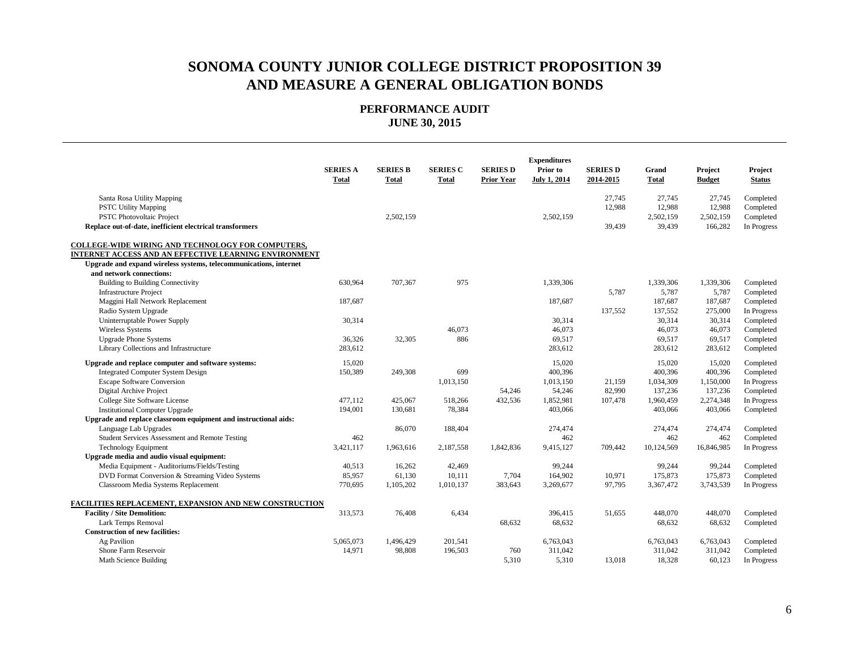|                                                                   | <b>SERIES A</b><br><b>Total</b> | <b>SERIES B</b><br>Total | <b>SERIES C</b><br>Total | <b>SERIES D</b><br><b>Prior Year</b> | <b>Expenditures</b><br>Prior to<br><b>July 1, 2014</b> | <b>SERIES D</b><br>2014-2015 | Grand<br><b>Total</b> | Project<br><b>Budget</b> | Project<br><b>Status</b> |
|-------------------------------------------------------------------|---------------------------------|--------------------------|--------------------------|--------------------------------------|--------------------------------------------------------|------------------------------|-----------------------|--------------------------|--------------------------|
| Santa Rosa Utility Mapping                                        |                                 |                          |                          |                                      |                                                        | 27,745                       | 27,745                | 27,745                   | Completed                |
| <b>PSTC Utility Mapping</b>                                       |                                 |                          |                          |                                      |                                                        | 12,988                       | 12,988                | 12,988                   | Completed                |
| PSTC Photovoltaic Project                                         |                                 | 2,502,159                |                          |                                      | 2,502,159                                              |                              | 2,502,159             | 2,502,159                | Completed                |
| Replace out-of-date, inefficient electrical transformers          |                                 |                          |                          |                                      |                                                        | 39,439                       | 39,439                | 166,282                  | In Progress              |
| COLLEGE-WIDE WIRING AND TECHNOLOGY FOR COMPUTERS,                 |                                 |                          |                          |                                      |                                                        |                              |                       |                          |                          |
| INTERNET ACCESS AND AN EFFECTIVE LEARNING ENVIRONMENT             |                                 |                          |                          |                                      |                                                        |                              |                       |                          |                          |
| Upgrade and expand wireless systems, telecommunications, internet |                                 |                          |                          |                                      |                                                        |                              |                       |                          |                          |
| and network connections:                                          |                                 |                          |                          |                                      |                                                        |                              |                       |                          |                          |
| <b>Building to Building Connectivity</b>                          | 630.964                         | 707,367                  | 975                      |                                      | 1,339,306                                              |                              | 1,339,306             | 1,339,306                | Completed                |
| <b>Infrastructure Project</b>                                     |                                 |                          |                          |                                      |                                                        | 5,787                        | 5,787                 | 5,787                    | Completed                |
| Maggini Hall Network Replacement                                  | 187,687                         |                          |                          |                                      | 187,687                                                |                              | 187,687               | 187,687                  | Completed                |
| Radio System Upgrade                                              |                                 |                          |                          |                                      |                                                        | 137,552                      | 137,552               | 275,000                  | In Progress              |
| Uninterruptable Power Supply                                      | 30,314                          |                          |                          |                                      | 30,314                                                 |                              | 30,314                | 30,314                   | Completed                |
| <b>Wireless Systems</b>                                           |                                 |                          | 46,073                   |                                      | 46,073                                                 |                              | 46,073                | 46,073                   | Completed                |
| <b>Upgrade Phone Systems</b>                                      | 36,326                          | 32,305                   | 886                      |                                      | 69,517                                                 |                              | 69,517                | 69,517                   | Completed                |
| Library Collections and Infrastructure                            | 283,612                         |                          |                          |                                      | 283,612                                                |                              | 283,612               | 283,612                  | Completed                |
| Upgrade and replace computer and software systems:                | 15,020                          |                          |                          |                                      | 15,020                                                 |                              | 15,020                | 15,020                   | Completed                |
| <b>Integrated Computer System Design</b>                          | 150,389                         | 249,308                  | 699                      |                                      | 400,396                                                |                              | 400,396               | 400,396                  | Completed                |
| <b>Escape Software Conversion</b>                                 |                                 |                          | 1,013,150                |                                      | 1,013,150                                              | 21,159                       | 1,034,309             | 1,150,000                | In Progress              |
| Digital Archive Project                                           |                                 |                          |                          | 54,246                               | 54,246                                                 | 82,990                       | 137,236               | 137,236                  | Completed                |
| College Site Software License                                     | 477,112                         | 425,067                  | 518,266                  | 432,536                              | 1,852,981                                              | 107,478                      | 1,960,459             | 2,274,348                | In Progress              |
| <b>Institutional Computer Upgrade</b>                             | 194,001                         | 130,681                  | 78,384                   |                                      | 403,066                                                |                              | 403,066               | 403,066                  | Completed                |
| Upgrade and replace classroom equipment and instructional aids:   |                                 |                          |                          |                                      |                                                        |                              |                       |                          |                          |
| Language Lab Upgrades                                             |                                 | 86,070                   | 188,404                  |                                      | 274,474                                                |                              | 274,474               | 274,474                  | Completed                |
| Student Services Assessment and Remote Testing                    | 462                             |                          |                          |                                      | 462                                                    |                              | 462                   | 462                      | Completed                |
| <b>Technology Equipment</b>                                       | 3,421,117                       | 1,963,616                | 2,187,558                | 1,842,836                            | 9,415,127                                              | 709,442                      | 10,124,569            | 16,846,985               | In Progress              |
| Upgrade media and audio visual equipment:                         |                                 |                          |                          |                                      |                                                        |                              |                       |                          |                          |
| Media Equipment - Auditoriums/Fields/Testing                      | 40,513                          | 16,262                   | 42,469                   |                                      | 99,244                                                 |                              | 99,244                | 99,244                   | Completed                |
| DVD Format Conversion & Streaming Video Systems                   | 85,957                          | 61,130                   | 10,111                   | 7,704                                | 164,902                                                | 10,971                       | 175,873               | 175,873                  | Completed                |
| Classroom Media Systems Replacement                               | 770.695                         | 1,105,202                | 1,010,137                | 383,643                              | 3.269.677                                              | 97,795                       | 3,367,472             | 3,743,539                | In Progress              |
| FACILITIES REPLACEMENT, EXPANSION AND NEW CONSTRUCTION            |                                 |                          |                          |                                      |                                                        |                              |                       |                          |                          |
| <b>Facility / Site Demolition:</b>                                | 313,573                         | 76,408                   | 6,434                    |                                      | 396,415                                                | 51,655                       | 448,070               | 448,070                  | Completed                |
| Lark Temps Removal                                                |                                 |                          |                          | 68,632                               | 68,632                                                 |                              | 68,632                | 68,632                   | Completed                |
| <b>Construction of new facilities:</b>                            |                                 |                          |                          |                                      |                                                        |                              |                       |                          |                          |
| Ag Pavilion                                                       | 5,065,073                       | 1,496,429                | 201,541                  |                                      | 6,763,043                                              |                              | 6,763,043             | 6,763,043                | Completed                |
| Shone Farm Reservoir                                              | 14,971                          | 98,808                   | 196,503                  | 760                                  | 311,042                                                |                              | 311,042               | 311,042                  | Completed                |
| Math Science Building                                             |                                 |                          |                          | 5.310                                | 5,310                                                  | 13,018                       | 18,328                | 60,123                   | In Progress              |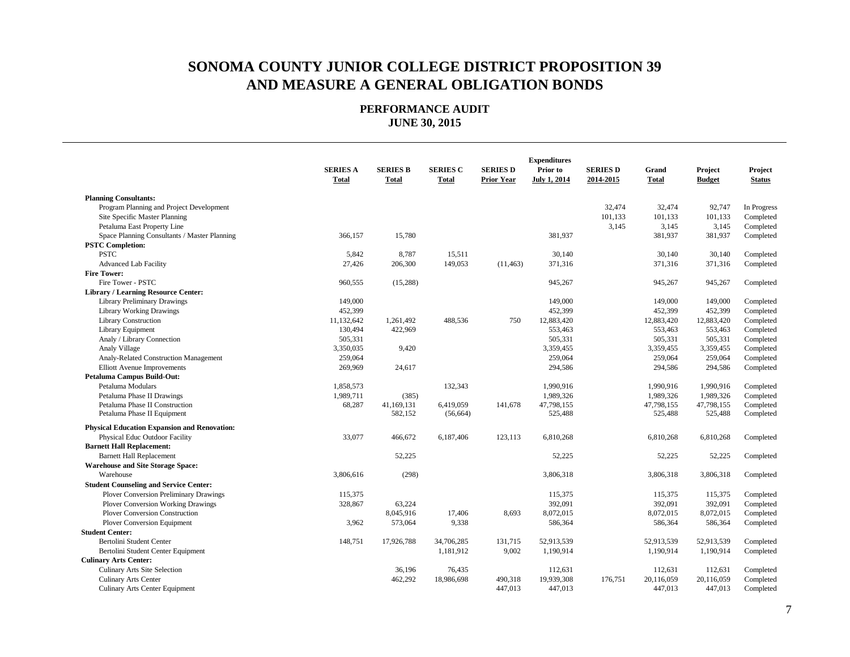|                                                     |                                 |                                 |                                 |                                      | <b>Expenditures</b>             |                              |                       |                          |                          |
|-----------------------------------------------------|---------------------------------|---------------------------------|---------------------------------|--------------------------------------|---------------------------------|------------------------------|-----------------------|--------------------------|--------------------------|
|                                                     | <b>SERIES A</b><br><b>Total</b> | <b>SERIES B</b><br><b>Total</b> | <b>SERIES C</b><br><b>Total</b> | <b>SERIES D</b><br><b>Prior Year</b> | Prior to<br><b>July 1, 2014</b> | <b>SERIES D</b><br>2014-2015 | Grand<br><b>Total</b> | Project<br><b>Budget</b> | Project<br><b>Status</b> |
|                                                     |                                 |                                 |                                 |                                      |                                 |                              |                       |                          |                          |
| <b>Planning Consultants:</b>                        |                                 |                                 |                                 |                                      |                                 |                              |                       |                          |                          |
| Program Planning and Project Development            |                                 |                                 |                                 |                                      |                                 | 32,474                       | 32,474                | 92,747                   | In Progress              |
| Site Specific Master Planning                       |                                 |                                 |                                 |                                      |                                 | 101,133                      | 101,133               | 101,133                  | Completed                |
| Petaluma East Property Line                         |                                 |                                 |                                 |                                      |                                 | 3,145                        | 3,145                 | 3,145                    | Completed                |
| Space Planning Consultants / Master Planning        | 366,157                         | 15,780                          |                                 |                                      | 381,937                         |                              | 381,937               | 381,937                  | Completed                |
| <b>PSTC Completion:</b>                             |                                 |                                 |                                 |                                      |                                 |                              |                       |                          |                          |
| <b>PSTC</b>                                         | 5,842                           | 8,787                           | 15,511                          |                                      | 30,140                          |                              | 30,140                | 30,140                   | Completed                |
| <b>Advanced Lab Facility</b>                        | 27,426                          | 206,300                         | 149,053                         | (11, 463)                            | 371,316                         |                              | 371,316               | 371,316                  | Completed                |
| <b>Fire Tower:</b>                                  |                                 |                                 |                                 |                                      |                                 |                              |                       |                          |                          |
| Fire Tower - PSTC                                   | 960,555                         | (15,288)                        |                                 |                                      | 945,267                         |                              | 945,267               | 945,267                  | Completed                |
| <b>Library / Learning Resource Center:</b>          |                                 |                                 |                                 |                                      |                                 |                              |                       |                          |                          |
| <b>Library Preliminary Drawings</b>                 | 149,000                         |                                 |                                 |                                      | 149,000                         |                              | 149,000               | 149,000                  | Completed                |
| <b>Library Working Drawings</b>                     | 452,399                         |                                 |                                 |                                      | 452,399                         |                              | 452,399               | 452,399                  | Completed                |
| <b>Library Construction</b>                         | 11,132,642                      | 1,261,492                       | 488,536                         | 750                                  | 12,883,420                      |                              | 12,883,420            | 12,883,420               | Completed                |
| Library Equipment                                   | 130,494                         | 422,969                         |                                 |                                      | 553,463                         |                              | 553,463               | 553,463                  | Completed                |
| Analy / Library Connection                          | 505,331                         |                                 |                                 |                                      | 505,331                         |                              | 505,331               | 505,331                  | Completed                |
| Analy Village                                       | 3,350,035                       | 9,420                           |                                 |                                      | 3,359,455                       |                              | 3,359,455             | 3,359,455                | Completed                |
| Analy-Related Construction Management               | 259,064                         |                                 |                                 |                                      | 259,064                         |                              | 259,064               | 259,064                  | Completed                |
| <b>Elliott Avenue Improvements</b>                  | 269,969                         | 24,617                          |                                 |                                      | 294,586                         |                              | 294,586               | 294,586                  | Completed                |
| Petaluma Campus Build-Out:                          |                                 |                                 |                                 |                                      |                                 |                              |                       |                          |                          |
| Petaluma Modulars                                   | 1,858,573                       |                                 | 132,343                         |                                      | 1,990,916                       |                              | 1,990,916             | 1,990,916                | Completed                |
| Petaluma Phase II Drawings                          | 1,989,711                       | (385)                           |                                 |                                      | 1,989,326                       |                              | 1,989,326             | 1,989,326                | Completed                |
| Petaluma Phase II Construction                      | 68,287                          | 41,169,131                      | 6,419,059                       | 141,678                              | 47,798,155                      |                              | 47,798,155            | 47,798,155               | Completed                |
| Petaluma Phase II Equipment                         |                                 | 582,152                         | (56, 664)                       |                                      | 525,488                         |                              | 525,488               | 525,488                  | Completed                |
| <b>Physical Education Expansion and Renovation:</b> |                                 |                                 |                                 |                                      |                                 |                              |                       |                          |                          |
| Physical Educ Outdoor Facility                      | 33,077                          | 466,672                         | 6,187,406                       | 123,113                              | 6,810,268                       |                              | 6,810,268             | 6,810,268                | Completed                |
| <b>Barnett Hall Replacement:</b>                    |                                 |                                 |                                 |                                      |                                 |                              |                       |                          |                          |
| <b>Barnett Hall Replacement</b>                     |                                 | 52,225                          |                                 |                                      | 52,225                          |                              | 52,225                | 52,225                   | Completed                |
| <b>Warehouse and Site Storage Space:</b>            |                                 |                                 |                                 |                                      |                                 |                              |                       |                          |                          |
| Warehouse                                           | 3,806,616                       | (298)                           |                                 |                                      | 3,806,318                       |                              | 3,806,318             | 3,806,318                | Completed                |
| <b>Student Counseling and Service Center:</b>       |                                 |                                 |                                 |                                      |                                 |                              |                       |                          |                          |
| <b>Plover Conversion Preliminary Drawings</b>       | 115,375                         |                                 |                                 |                                      | 115,375                         |                              | 115.375               | 115,375                  | Completed                |
| <b>Plover Conversion Working Drawings</b>           | 328,867                         | 63,224                          |                                 |                                      | 392,091                         |                              | 392,091               | 392,091                  | Completed                |
| <b>Plover Conversion Construction</b>               |                                 | 8,045,916                       | 17,406                          | 8,693                                | 8,072,015                       |                              | 8,072,015             | 8,072,015                | Completed                |
| Plover Conversion Equipment                         | 3,962                           | 573,064                         | 9,338                           |                                      | 586,364                         |                              | 586,364               | 586,364                  | Completed                |
| <b>Student Center:</b>                              |                                 |                                 |                                 |                                      |                                 |                              |                       |                          |                          |
| Bertolini Student Center                            | 148,751                         | 17,926,788                      | 34,706,285                      | 131,715                              | 52,913,539                      |                              | 52,913,539            | 52,913,539               | Completed                |
| Bertolini Student Center Equipment                  |                                 |                                 | 1,181,912                       | 9,002                                | 1,190,914                       |                              | 1,190,914             | 1,190,914                | Completed                |
| <b>Culinary Arts Center:</b>                        |                                 |                                 |                                 |                                      |                                 |                              |                       |                          |                          |
| Culinary Arts Site Selection                        |                                 | 36,196                          | 76,435                          |                                      | 112,631                         |                              | 112.631               | 112,631                  | Completed                |
| <b>Culinary Arts Center</b>                         |                                 | 462,292                         | 18,986,698                      | 490,318                              | 19,939,308                      | 176,751                      | 20,116,059            | 20,116,059               | Completed                |
| <b>Culinary Arts Center Equipment</b>               |                                 |                                 |                                 | 447,013                              | 447,013                         |                              | 447,013               | 447,013                  | Completed                |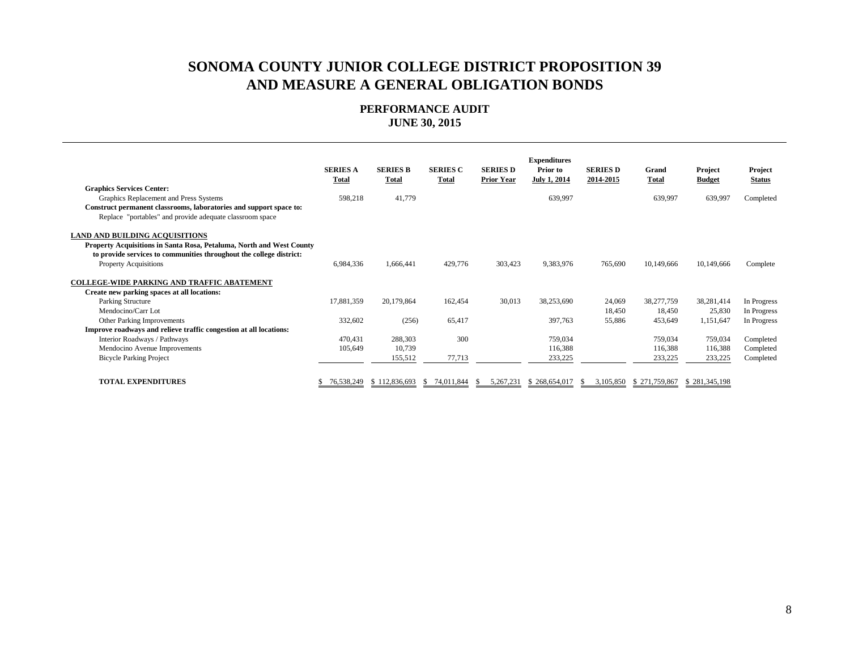|                                                                      | <b>SERIES A</b><br><b>Total</b> | <b>SERIES B</b><br><b>Total</b> | <b>SERIES C</b><br><b>Total</b> | <b>SERIES D</b><br><b>Prior Year</b> | <b>Expenditures</b><br>Prior to<br><b>July 1, 2014</b> | <b>SERIES D</b><br>2014-2015 | Grand<br>Total | Project<br><b>Budget</b> | Project<br><b>Status</b> |
|----------------------------------------------------------------------|---------------------------------|---------------------------------|---------------------------------|--------------------------------------|--------------------------------------------------------|------------------------------|----------------|--------------------------|--------------------------|
| <b>Graphics Services Center:</b>                                     |                                 |                                 |                                 |                                      |                                                        |                              |                |                          |                          |
| Graphics Replacement and Press Systems                               | 598,218                         | 41,779                          |                                 |                                      | 639,997                                                |                              | 639,997        | 639,997                  | Completed                |
| Construct permanent classrooms, laboratories and support space to:   |                                 |                                 |                                 |                                      |                                                        |                              |                |                          |                          |
| Replace "portables" and provide adequate classroom space             |                                 |                                 |                                 |                                      |                                                        |                              |                |                          |                          |
| <b>LAND AND BUILDING ACQUISITIONS</b>                                |                                 |                                 |                                 |                                      |                                                        |                              |                |                          |                          |
| Property Acquisitions in Santa Rosa, Petaluma, North and West County |                                 |                                 |                                 |                                      |                                                        |                              |                |                          |                          |
| to provide services to communities throughout the college district:  |                                 |                                 |                                 |                                      |                                                        |                              |                |                          |                          |
| <b>Property Acquisitions</b>                                         | 6,984,336                       | 1,666,441                       | 429,776                         | 303,423                              | 9,383,976                                              | 765,690                      | 10,149,666     | 10,149,666               | Complete                 |
| COLLEGE-WIDE PARKING AND TRAFFIC ABATEMENT                           |                                 |                                 |                                 |                                      |                                                        |                              |                |                          |                          |
|                                                                      |                                 |                                 |                                 |                                      |                                                        |                              |                |                          |                          |
| Create new parking spaces at all locations:                          |                                 |                                 |                                 |                                      |                                                        |                              |                |                          |                          |
| Parking Structure                                                    | 17,881,359                      | 20,179,864                      | 162,454                         | 30,013                               | 38,253,690                                             | 24,069                       | 38,277,759     | 38,281,414               | In Progress              |
| Mendocino/Carr Lot                                                   |                                 |                                 |                                 |                                      |                                                        | 18,450                       | 18.450         | 25,830                   | In Progress              |
| Other Parking Improvements                                           | 332,602                         | (256)                           | 65,417                          |                                      | 397,763                                                | 55,886                       | 453,649        | 1,151,647                | In Progress              |
| Improve roadways and relieve traffic congestion at all locations:    |                                 |                                 |                                 |                                      |                                                        |                              |                |                          |                          |
| Interior Roadways / Pathways                                         | 470,431                         | 288,303                         | 300                             |                                      | 759,034                                                |                              | 759,034        | 759,034                  | Completed                |
| Mendocino Avenue Improvements                                        | 105,649                         | 10,739                          |                                 |                                      | 116,388                                                |                              | 116,388        | 116,388                  | Completed                |
| <b>Bicycle Parking Project</b>                                       |                                 | 155,512                         | 77,713                          |                                      | 233,225                                                |                              | 233,225        | 233,225                  | Completed                |
|                                                                      |                                 |                                 |                                 |                                      |                                                        |                              |                |                          |                          |
| <b>TOTAL EXPENDITURES</b>                                            | 76,538,249                      | \$112,836,693                   | 74,011,844<br>-SS               | 5,267,231                            | \$268,654,017                                          | 3.105.850                    | \$271,759,867  | \$281,345,198            |                          |